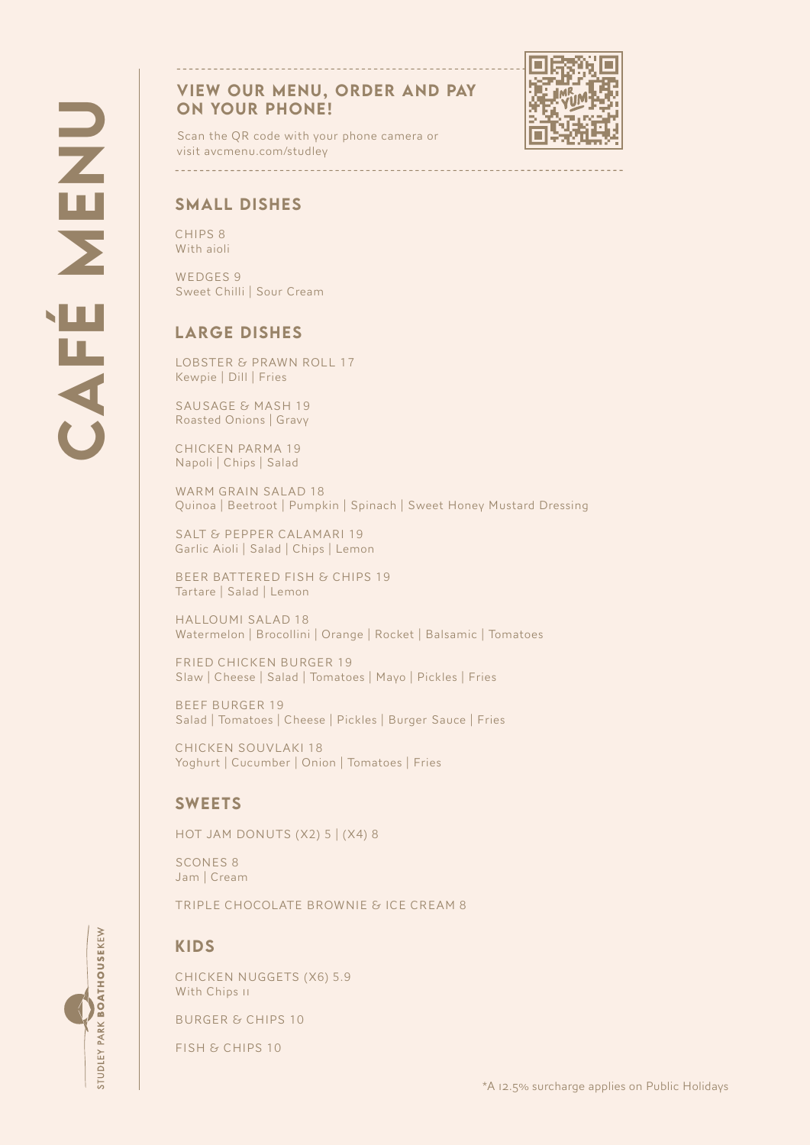#### VIEW OUR MENU, ORDER AND PAY ON YOUR PHONE!



Scan the QR code with your phone camera or visit avcmenu.com/studley

#### SMALL DISHES

--------------------------

CHIPS 8 With aioli

WEDGES 9 Sweet Chilli | Sour Cream

#### LARGE DISHES

LOBSTER & PRAWN ROLL 17 Kewpie | Dill | Fries

SAUSAGE & MASH 19 Roasted Onions | Gravy

CHICKEN PARMA 19 Napoli | Chips | Salad

WARM GRAIN SALAD 18 Quinoa | Beetroot | Pumpkin | Spinach | Sweet Honey Mustard Dressing

SALT & PEPPER CALAMARI 19 Garlic Aioli | Salad | Chips | Lemon

BEER BATTERED FISH & CHIPS 19 Tartare | Salad | Lemon

HALLOUMI SALAD 18 Watermelon | Brocollini | Orange | Rocket | Balsamic | Tomatoes

FRIED CHICKEN BURGER 19 Slaw | Cheese | Salad | Tomatoes | Mayo | Pickles | Fries

BEEF BURGER 19 Salad | Tomatoes | Cheese | Pickles | Burger Sauce | Fries

CHICKEN SOUVLAKI 18 Yoghurt | Cucumber | Onion | Tomatoes | Fries

#### SWEETS

HOT JAM DONUTS (X2) 5 | (X4) 8

SCONES 8 Jam | Cream

TRIPLE CHOCOLATE BROWNIE & ICE CREAM 8

#### KIDS

**STUDLEY PARK BOATHOUSEKEW** 

CHICKEN NUGGETS (X6) 5.9 With Chips II

BURGER & CHIPS 10

FISH & CHIPS 10